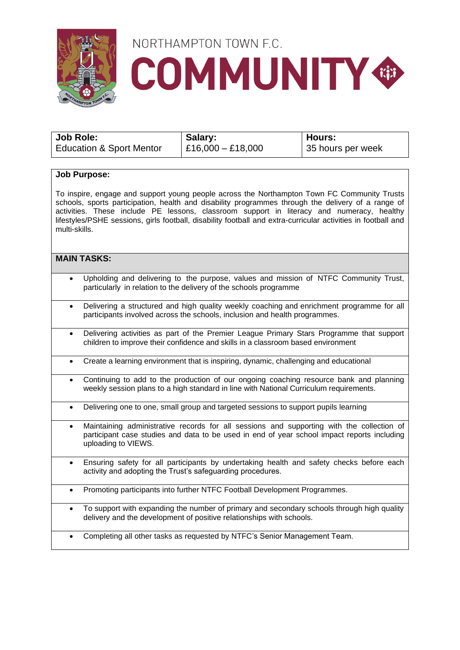

# NORTHAMPTON TOWN F.C. **COMMUNITY®**

| Job Role:                           | Salary:             | ∣ Hours:          |
|-------------------------------------|---------------------|-------------------|
| <b>Education &amp; Sport Mentor</b> | $E16,000 - E18,000$ | 35 hours per week |

#### **Job Purpose:**

To inspire, engage and support young people across the Northampton Town FC Community Trusts schools, sports participation, health and disability programmes through the delivery of a range of activities. These include PE lessons, classroom support in literacy and numeracy, healthy lifestyles/PSHE sessions, girls football, disability football and extra-curricular activities in football and multi-skills.

#### **MAIN TASKS:**

- Upholding and delivering to the purpose, values and mission of NTFC Community Trust, particularly in relation to the delivery of the schools programme
- Delivering a structured and high quality weekly coaching and enrichment programme for all participants involved across the schools, inclusion and health programmes.
- Delivering activities as part of the Premier League Primary Stars Programme that support children to improve their confidence and skills in a classroom based environment
- Create a learning environment that is inspiring, dynamic, challenging and educational
- Continuing to add to the production of our ongoing coaching resource bank and planning weekly session plans to a high standard in line with National Curriculum requirements.
- Delivering one to one, small group and targeted sessions to support pupils learning
- Maintaining administrative records for all sessions and supporting with the collection of participant case studies and data to be used in end of year school impact reports including uploading to VIEWS.
- Ensuring safety for all participants by undertaking health and safety checks before each activity and adopting the Trust's safeguarding procedures.
- Promoting participants into further NTFC Football Development Programmes.
- To support with expanding the number of primary and secondary schools through high quality delivery and the development of positive relationships with schools.
- Completing all other tasks as requested by NTFC's Senior Management Team.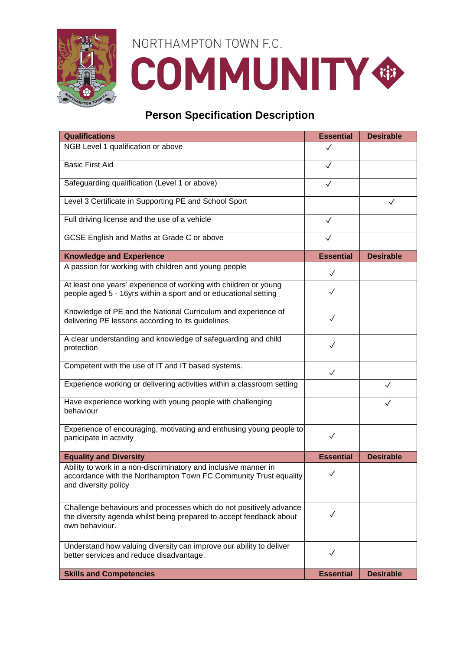

# NORTHAMPTON TOWN F.C. **COMMUNITY®**

### **Person Specification Description**

| <b>Qualifications</b>                                                                                                                                       | <b>Essential</b> | <b>Desirable</b> |
|-------------------------------------------------------------------------------------------------------------------------------------------------------------|------------------|------------------|
| NGB Level 1 qualification or above                                                                                                                          | ✓                |                  |
| <b>Basic First Aid</b>                                                                                                                                      | $\checkmark$     |                  |
| Safeguarding qualification (Level 1 or above)                                                                                                               | $\checkmark$     |                  |
| Level 3 Certificate in Supporting PE and School Sport                                                                                                       |                  | ✓                |
| Full driving license and the use of a vehicle                                                                                                               | $\checkmark$     |                  |
| GCSE English and Maths at Grade C or above                                                                                                                  | $\checkmark$     |                  |
| <b>Knowledge and Experience</b>                                                                                                                             | <b>Essential</b> | <b>Desirable</b> |
| A passion for working with children and young people                                                                                                        | $\checkmark$     |                  |
| At least one years' experience of working with children or young<br>people aged 5 - 16yrs within a sport and or educational setting                         | ✓                |                  |
| Knowledge of PE and the National Curriculum and experience of<br>delivering PE lessons according to its guidelines                                          | $\checkmark$     |                  |
| A clear understanding and knowledge of safeguarding and child<br>protection                                                                                 | $\checkmark$     |                  |
| Competent with the use of IT and IT based systems.                                                                                                          | $\checkmark$     |                  |
| Experience working or delivering activities within a classroom setting                                                                                      |                  | $\checkmark$     |
| Have experience working with young people with challenging<br>behaviour                                                                                     |                  |                  |
| Experience of encouraging, motivating and enthusing young people to<br>participate in activity                                                              | $\checkmark$     |                  |
| <b>Equality and Diversity</b>                                                                                                                               | <b>Essential</b> | <b>Desirable</b> |
| Ability to work in a non-discriminatory and inclusive manner in<br>accordance with the Northampton Town FC Community Trust equality<br>and diversity policy | $\checkmark$     |                  |
| Challenge behaviours and processes which do not positively advance<br>the diversity agenda whilst being prepared to accept feedback about<br>own behaviour. | $\checkmark$     |                  |
| Understand how valuing diversity can improve our ability to deliver<br>better services and reduce disadvantage.                                             | $\checkmark$     |                  |
| <b>Skills and Competencies</b>                                                                                                                              | <b>Essential</b> | <b>Desirable</b> |